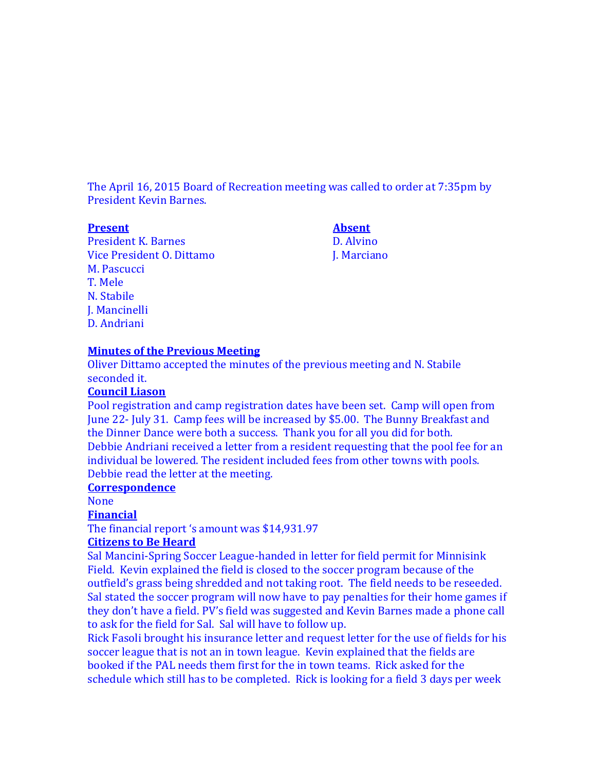The April 16, 2015 Board of Recreation meeting was called to order at 7:35pm by President Kevin Barnes.

#### **Present Absent**

President K. Barnes D. Alvino Vice President O. Dittamo J. Marciano M. Pascucci T. Mele N. Stabile J. Mancinelli D. Andriani

#### **Minutes of the Previous Meeting**

Oliver Dittamo accepted the minutes of the previous meeting and N. Stabile seconded it.

#### **Council Liason**

Pool registration and camp registration dates have been set. Camp will open from June 22- July 31. Camp fees will be increased by \$5.00. The Bunny Breakfast and the Dinner Dance were both a success. Thank you for all you did for both. Debbie Andriani received a letter from a resident requesting that the pool fee for an individual be lowered. The resident included fees from other towns with pools. Debbie read the letter at the meeting.

#### **Correspondence**

None

## **Financial**

The financial report 's amount was \$14,931.97

#### **Citizens to Be Heard**

Sal Mancini-Spring Soccer League-handed in letter for field permit for Minnisink Field. Kevin explained the field is closed to the soccer program because of the outfield's grass being shredded and not taking root. The field needs to be reseeded. Sal stated the soccer program will now have to pay penalties for their home games if they don't have a field. PV's field was suggested and Kevin Barnes made a phone call to ask for the field for Sal. Sal will have to follow up.

Rick Fasoli brought his insurance letter and request letter for the use of fields for his soccer league that is not an in town league. Kevin explained that the fields are booked if the PAL needs them first for the in town teams. Rick asked for the schedule which still has to be completed. Rick is looking for a field 3 days per week